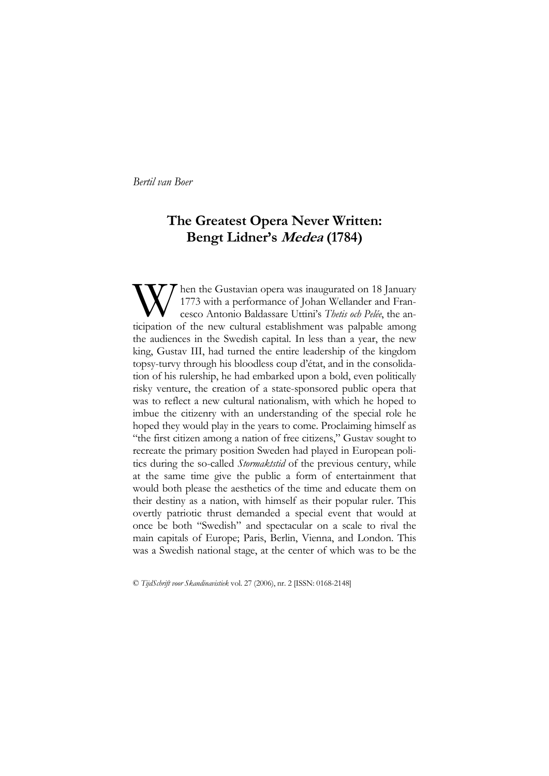# **The Greatest Opera Never Written: Bengt Lidner's Medea (1784)**

W hen the Gustavian opera was inaugurated on 18 January<br>1773 with a performance of Johan Wellander and Francesco Antonio Baldassare Uttini's Thetis och Pelée, the anticipation of the new cultural establishment was palpable 1773 with a performance of Johan Wellander and Francesco Antonio Baldassare Uttini's *Thetis och Pelée*, the anticipation of the new cultural establishment was palpable among the audiences in the Swedish capital. In less than a year, the new king, Gustav III, had turned the entire leadership of the kingdom topsy-turvy through his bloodless coup d'état, and in the consolidation of his rulership, he had embarked upon a bold, even politically risky venture, the creation of a state-sponsored public opera that was to reflect a new cultural nationalism, with which he hoped to imbue the citizenry with an understanding of the special role he hoped they would play in the years to come. Proclaiming himself as "the first citizen among a nation of free citizens," Gustav sought to recreate the primary position Sweden had played in European politics during the so-called *Stormaktstid* of the previous century, while at the same time give the public a form of entertainment that would both please the aesthetics of the time and educate them on their destiny as a nation, with himself as their popular ruler. This overtly patriotic thrust demanded a special event that would at once be both "Swedish" and spectacular on a scale to rival the main capitals of Europe; Paris, Berlin, Vienna, and London. This was a Swedish national stage, at the center of which was to be the

© *TijdSchrift voor Skandinavistiek* vol. 27 (2006), nr. 2 [ISSN: 0168-2148]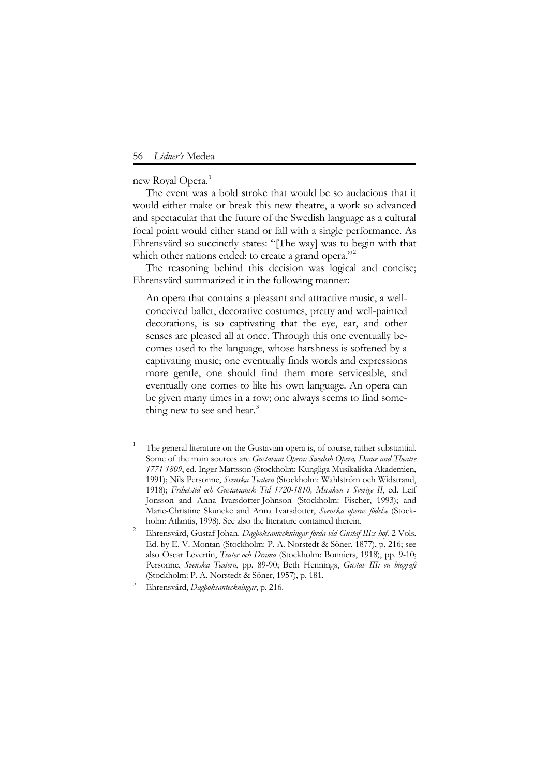new Royal Opera.<sup>[1](#page-1-0)</sup>

<u>.</u>

The event was a bold stroke that would be so audacious that it would either make or break this new theatre, a work so advanced and spectacular that the future of the Swedish language as a cultural focal point would either stand or fall with a single performance. As Ehrensvärd so succinctly states: "[The way] was to begin with that which other nations ended: to create a grand opera."<sup>[2](#page-1-1)</sup>

The reasoning behind this decision was logical and concise; Ehrensvärd summarized it in the following manner:

An opera that contains a pleasant and attractive music, a wellconceived ballet, decorative costumes, pretty and well-painted decorations, is so captivating that the eye, ear, and other senses are pleased all at once. Through this one eventually becomes used to the language, whose harshness is softened by a captivating music; one eventually finds words and expressions more gentle, one should find them more serviceable, and eventually one comes to like his own language. An opera can be given many times in a row; one always seems to find some-thing new to see and hear.<sup>[3](#page-1-2)</sup>

<span id="page-1-0"></span>The general literature on the Gustavian opera is, of course, rather substantial. Some of the main sources are *Gustavian Opera: Swedish Opera, Dance and Theatre 1771-1809*, ed. Inger Mattsson (Stockholm: Kungliga Musikaliska Akademien, 1991); Nils Personne, *Svenska Teatern* (Stockholm: Wahlström och Widstrand, 1918); *Frihetstid och Gustaviansk Tid 1720-1810, Musiken i Sverige II*, ed. Leif Jonsson and Anna Ivarsdotter-Johnson (Stockholm: Fischer, 1993); and Marie-Christine Skuncke and Anna Ivarsdotter, *Svenska operas födelse* (Stockholm: Atlantis, 1998). See also the literature contained therein.

<span id="page-1-1"></span>Ehrensvärd, Gustaf Johan. *Dagboksanteckningar förda vid Gustaf III:s hof*. 2 Vols. Ed. by E. V. Montan (Stockholm: P. A. Norstedt & Söner, 1877), p. 216; see also Oscar Levertin, *Teater och Drama* (Stockholm: Bonniers, 1918), pp. 9-10; Personne, *Svenska Teatern*, pp. 89-90; Beth Hennings, *Gustav III: en biografi* (Stockholm: P. A. Norstedt & Söner, 1957), p. 181.

<span id="page-1-2"></span><sup>3</sup> Ehrensvärd, *Dagboksanteckningar*, p. 216.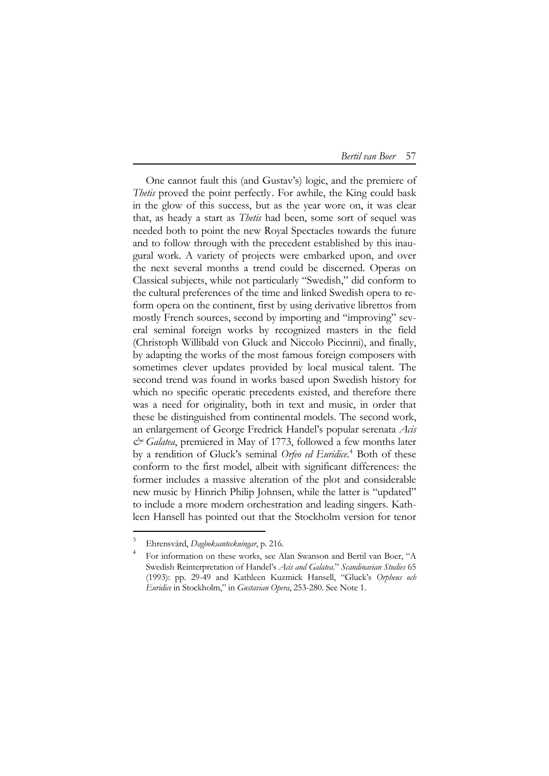One cannot fault this (and Gustav's) logic, and the premiere of *Thetis* proved the point perfectly[. For awhile, the King could bask](#page-2-0)  [in the glow of this success, but as the year wore on, it was clear](#page-2-0)  that, as heady a start as *Thetis* [had been, some sort of sequel was](#page-2-0)  [needed both to point the new Royal Spectacles towards the future](#page-2-0)  [and to follow through with the precedent established by this inau](#page-2-0)[gural work. A variety of projects were embarked upon, and over](#page-2-0)  [the next several months a trend could be discerned. Operas on](#page-2-0)  [Classical subjects, while not particularly "Swedish," did conform to](#page-2-0)  [the cultural preferences of the time and linked Swedish opera to re](#page-2-0)[form opera on the continent, first by using derivative librettos from](#page-2-0)  [mostly French sources, second by importing and "improving" sev](#page-2-0)[eral seminal foreign works by recognized masters in the field](#page-2-0)  [\(Christoph Willibald von Gluck and Niccolo Piccinni\), and finally,](#page-2-0)  [by adapting the works of the most famous foreign composers with](#page-2-0)  [sometimes clever updates provided by local musical talent. The](#page-2-0)  [second trend was found in works based upon Swedish history for](#page-2-0)  [which no specific operatic precedents existed, and therefore there](#page-2-0)  [was a need for originality, both in text and music, in order that](#page-2-0)  [these be distinguished from continental models. The second work,](#page-2-0)  [an enlargement of George Fredrick Handel's popular serenata](#page-2-0) *Acis & Galatea*[, premiered in May of 1773, followed a few months later](#page-2-0)  [by a rendition of Gluck's seminal](#page-2-0) *Orfeo ed Euridice*. <sup>4</sup> Both of these conform to the first model, albeit with significant differences: the former includes a massive alteration of the plot and considerable new music by Hinrich Philip Johnsen, while the latter is "updated" to include a more modern orchestration and leading singers. Kathleen Hansell has pointed out that the Stockholm version for tenor

<span id="page-2-0"></span><sup>3</sup> Ehrensvärd, *Dagboksanteckningar*, p. 216.

<sup>4</sup> For information on these works, see Alan Swanson and Bertil van Boer, "A Swedish Reinterpretation of Handel's *Acis and Galatea*." *Scandinavian Studies* 65 (1993): pp. 29-49 and Kathleen Kuzmick Hansell, "Gluck's *Orpheus och Euridice* in Stockholm," in *Gustavian Opera*, 253-280. See Note 1.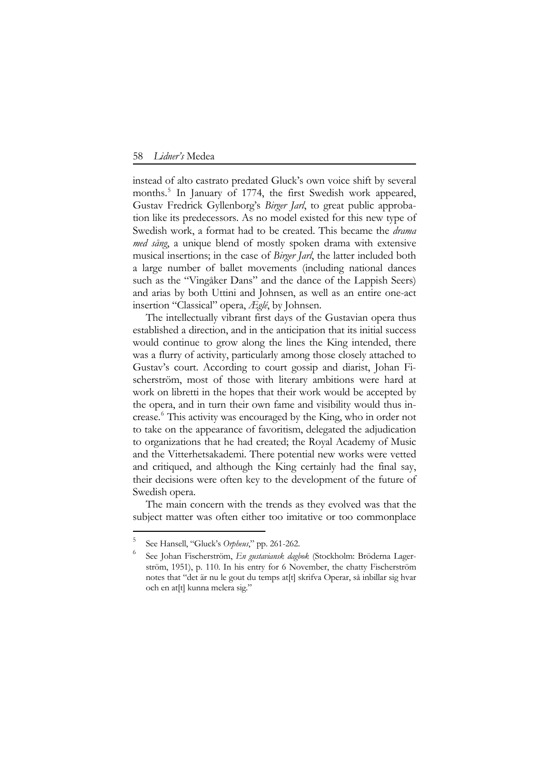instead of alto castrato predated Gluck's own voice shift by several months.<sup>[5](#page-3-0)</sup> In January of 1774, the first Swedish work appeared, Gustav Fredrick Gyllenborg's *Birger Jarl*, to great public approbation like its predecessors. As no model existed for this new type of Swedish work, a format had to be created. This became the *drama med sång*, a unique blend of mostly spoken drama with extensive musical insertions; in the case of *Birger Jarl*, the latter included both a large number of ballet movements (including national dances such as the "Vingåker Dans" and the dance of the Lappish Seers) and arias by both Uttini and Johnsen, as well as an entire one-act insertion "Classical" opera, *Æglé*, by Johnsen.

The intellectually vibrant first days of the Gustavian opera thus established a direction, and in the anticipation that its initial success would continue to grow along the lines the King intended, there was a flurry of activity, particularly among those closely attached to Gustav's court. According to court gossip and diarist, Johan Fischerström, most of those with literary ambitions were hard at work on libretti in the hopes that their work would be accepted by the opera, and in turn their own fame and visibility would thus in-crease.<sup>[6](#page-3-1)</sup> This activity was encouraged by the King, who in order not to take on the appearance of favoritism, delegated the adjudication to organizations that he had created; the Royal Academy of Music and the Vitterhetsakademi. There potential new works were vetted and critiqued, and although the King certainly had the final say, their decisions were often key to the development of the future of Swedish opera.

The main concern with the trends as they evolved was that the subject matter was often either too imitative or too commonplace

<span id="page-3-1"></span><span id="page-3-0"></span><sup>5</sup> See Hansell, "Gluck's *Orpheus*," pp. 261-262.

<sup>6</sup> See Johan Fischerström, *En gustaviansk dagbok* (Stockholm: Bröderna Lagerström, 1951), p. 110. In his entry for 6 November, the chatty Fischerström notes that "det är nu le gout du temps at[t] skrifva Operar, så inbillar sig hvar och en at[t] kunna melera sig."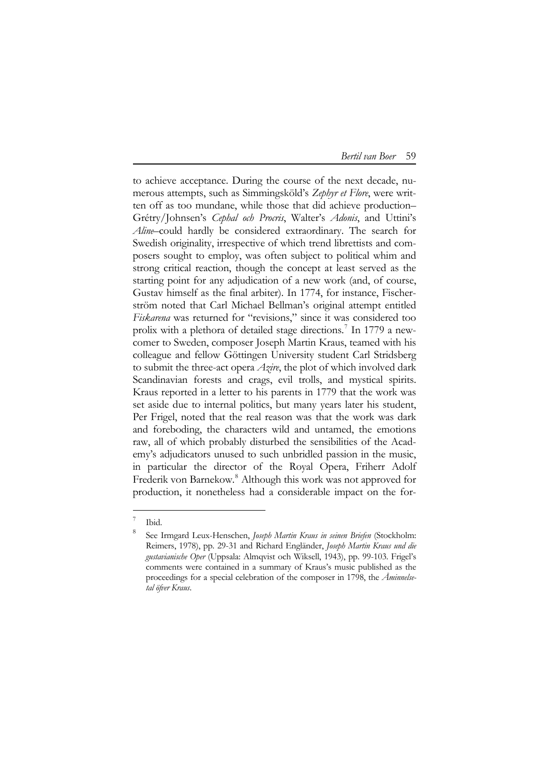to achieve acceptance. During the course of the next decade, numerous attempts, such as Simmingsköld's *Zephyr et Flore*, were written off as too mundane, while those that did achieve production– Grétry/Johnsen's *Cephal och Procris*, Walter's *Adonis*, and Uttini's *Aline*–could hardly be considered extraordinary. The search for Swedish originality, irrespective of which trend librettists and composers sought to employ, was often subject to political whim and strong critical reaction, though the concept at least served as the starting point for any adjudication of a new work (and, of course, Gustav himself as the final arbiter). In 1774, for instance, Fischerström noted that Carl Michael Bellman's original attempt entitled *Fiskarena* was returned for "revisions," since it was considered too prolix with a plethora of detailed stage directions.<sup>[7](#page-4-0)</sup> In 1779 a newcomer to Sweden, composer Joseph Martin Kraus, teamed with his colleague and fellow Göttingen University student Carl Stridsberg to submit the three-act opera *Azire*, the plot of which involved dark Scandinavian forests and crags, evil trolls, and mystical spirits. Kraus reported in a letter to his parents in 1779 that the work was set aside due to internal politics, but many years later his student, Per Frigel, noted that the real reason was that the work was dark and foreboding, the characters wild and untamed, the emotions raw, all of which probably disturbed the sensibilities of the Academy's adjudicators unused to such unbridled passion in the music, in particular the director of the Royal Opera, Friherr Adolf Frederik von Barnekow.<sup>[8](#page-4-1)</sup> Although this work was not approved for production, it nonetheless had a considerable impact on the for-

<sup>7</sup> Ibid.

<span id="page-4-1"></span><span id="page-4-0"></span><sup>8</sup> See Irmgard Leux-Henschen, *Joseph Martin Kraus in seinen Briefen* (Stockholm: Reimers, 1978), pp. 29-31 and Richard Engländer, *Joseph Martin Kraus und die gustavianische Oper* (Uppsala: Almqvist och Wiksell, 1943), pp. 99-103. Frigel's comments were contained in a summary of Kraus's music published as the proceedings for a special celebration of the composer in 1798, the *Åminnelsetal öfver Kraus*.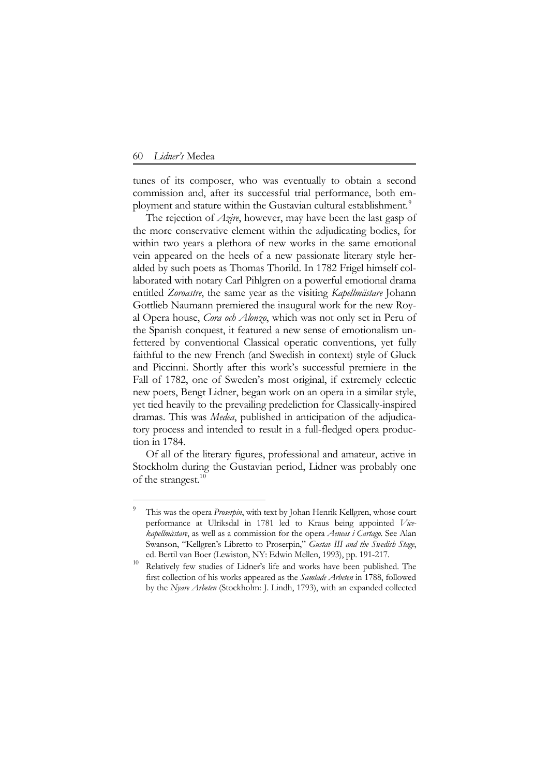<u>.</u>

tunes of its composer, who was eventually to obtain a second commission and, after its successful trial performance, both em-ployment and stature within the Gustavian cultural establishment.<sup>[9](#page-5-0)</sup>

The rejection of *Azire*, however, may have been the last gasp of the more conservative element within the adjudicating bodies, for within two years a plethora of new works in the same emotional vein appeared on the heels of a new passionate literary style heralded by such poets as Thomas Thorild. In 1782 Frigel himself collaborated with notary Carl Pihlgren on a powerful emotional drama entitled *Zoroastre*, the same year as the visiting *Kapellmästare* Johann Gottlieb Naumann premiered the inaugural work for the new Royal Opera house, *Cora och Alonzo*, which was not only set in Peru of the Spanish conquest, it featured a new sense of emotionalism unfettered by conventional Classical operatic conventions, yet fully faithful to the new French (and Swedish in context) style of Gluck and Piccinni. Shortly after this work's successful premiere in the Fall of 1782, one of Sweden's most original, if extremely eclectic new poets, Bengt Lidner, began work on an opera in a similar style, yet tied heavily to the prevailing predeliction for Classically-inspired dramas. This was *Medea*, published in anticipation of the adjudicatory process and intended to result in a full-fledged opera production in 1784.

Of all of the literary figures, professional and amateur, active in Stockholm during the Gustavian period, Lidner was probably one of the strangest.<sup>1[0](#page-5-1)</sup>

<span id="page-5-0"></span><sup>9</sup> This was the opera *Proserpin*, with text by Johan Henrik Kellgren, whose court performance at Ulriksdal in 1781 led to Kraus being appointed *Vicekapellmästare*, as well as a commission for the opera *Aeneas i Cartago*. See Alan Swanson, "Kellgren's Libretto to Proserpin," *Gustav III and the Swedish Stage*, ed. Bertil van Boer (Lewiston, NY: Edwin Mellen, 1993), pp. 191-217.

<span id="page-5-1"></span>Relatively few studies of Lidner's life and works have been published. The first collection of his works appeared as the *Samlade Arbeten* in 1788, followed by the *Nyare Arbeten* (Stockholm: J. Lindh, 1793), with an expanded collected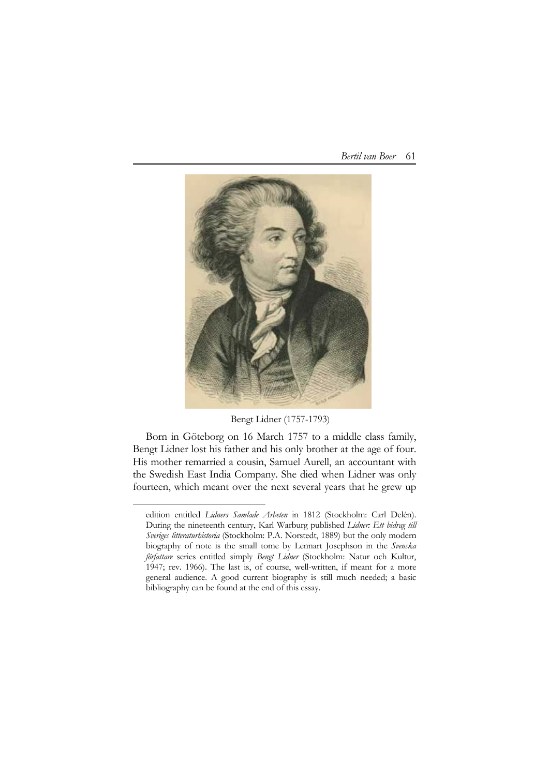

Bengt Lidner (1757-1793)

Born in Göteborg on 16 March 1757 to a middle class family, Bengt Lidner lost his father and his only brother at the age of four. His mother remarried a cousin, Samuel Aurell, an accountant with the Swedish East India Company. She died when Lidner was only fourteen, which meant over the next several years that he grew up

edition entitled *Lidners Samlade Arbeten* in 1812 (Stockholm: Carl Delén). During the nineteenth century, Karl Warburg published *Lidner: Ett bidrag till Sveriges litteraturhistoria* (Stockholm: P.A. Norstedt, 1889) but the only modern biography of note is the small tome by Lennart Josephson in the *Svenska författare* series entitled simply *Bengt Lidner* (Stockholm: Natur och Kultur, 1947; rev. 1966). The last is, of course, well-written, if meant for a more general audience. A good current biography is still much needed; a basic bibliography can be found at the end of this essay.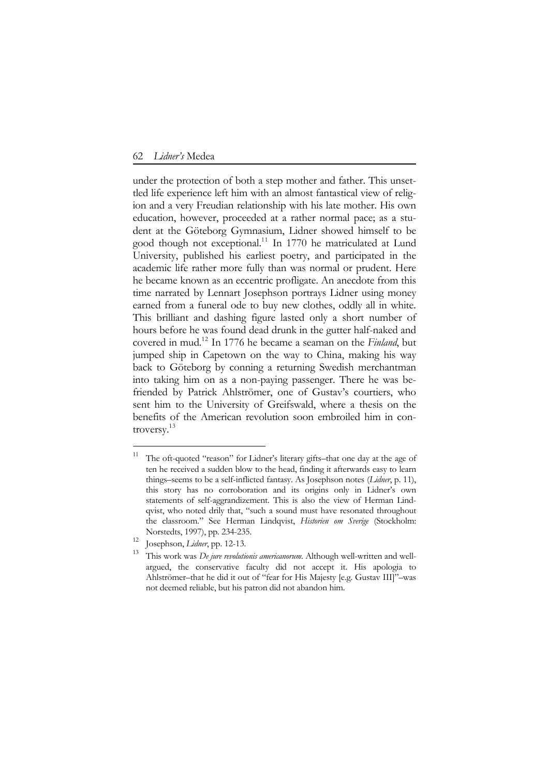under the protection of both a step mother and father. This unsettled life experience left him with an almost fantastical view of religion and a very Freudian relationship with his late mother. His own education, however, proceeded at a rather normal pace; as a student at the Göteborg Gymnasium, Lidner showed himself to be good though not exceptional.<sup>[1](#page-7-0)1</sup> In 1770 he matriculated at Lund University, published his earliest poetry, and participated in the academic life rather more fully than was normal or prudent. Here he became known as an eccentric profligate. An anecdote from this time narrated by Lennart Josephson portrays Lidner using money earned from a funeral ode to buy new clothes, oddly all in white. This brilliant and dashing figure lasted only a short number of hours before he was found dead drunk in the gutter half-naked and covered in mud.1[2](#page-7-1) In 1776 he became a seaman on the *Finland*, but jumped ship in Capetown on the way to China, making his way back to Göteborg by conning a returning Swedish merchantman into taking him on as a non-paying passenger. There he was befriended by Patrick Ahlströmer, one of Gustav's courtiers, who sent him to the University of Greifswald, where a thesis on the benefits of the American revolution soon embroiled him in controversy.1[3](#page-7-2)

<span id="page-7-0"></span>The oft-quoted "reason" for Lidner's literary gifts-that one day at the age of ten he received a sudden blow to the head, finding it afterwards easy to learn things–seems to be a self-inflicted fantasy. As Josephson notes (*Lidner*, p. 11), this story has no corroboration and its origins only in Lidner's own statements of self-aggrandizement. This is also the view of Herman Lindqvist, who noted drily that, "such a sound must have resonated throughout the classroom." See Herman Lindqvist, *Historien om Sverige* (Stockholm:

<sup>&</sup>lt;sup>12</sup> Josephson, *Lidner*, pp. 12-13.

<span id="page-7-2"></span><span id="page-7-1"></span><sup>13</sup> This work was *De jure revolutionis americanorum*. Although well-written and wellargued, the conservative faculty did not accept it. His apologia to Ahlströmer–that he did it out of "fear for His Majesty [e.g. Gustav III]"–was not deemed reliable, but his patron did not abandon him.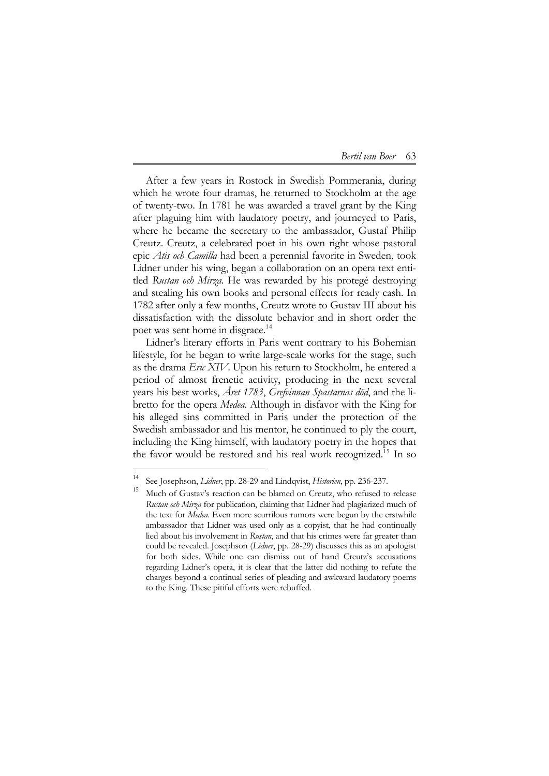| Bertil van Boer | 63 |
|-----------------|----|
|-----------------|----|

After a few years in Rostock in Swedish Pommerania, during which he wrote four dramas, he returned to Stockholm at the age of twenty-two. In 1781 he was awarded a travel grant by the King after plaguing him with laudatory poetry, and journeyed to Paris, where he became the secretary to the ambassador, Gustaf Philip Creutz. Creutz, a celebrated poet in his own right whose pastoral epic *Atis och Camilla* had been a perennial favorite in Sweden, took Lidner under his wing, began a collaboration on an opera text entitled *Rustan och Mirza*. He was rewarded by his protegé destroying and stealing his own books and personal effects for ready cash. In 1782 after only a few months, Creutz wrote to Gustav III about his dissatisfaction with the dissolute behavior and in short order the poet was sent home in disgrace.<sup>1[4](#page-8-0)</sup>

Lidner's literary efforts in Paris went contrary to his Bohemian lifestyle, for he began to write large-scale works for the stage, such as the drama *Eric XIV*. Upon his return to Stockholm, he entered a period of almost frenetic activity, producing in the next several years his best works, *Året 1783*, *Grefvinnan Spastarnas död*, and the libretto for the opera *Medea*. Although in disfavor with the King for his alleged sins committed in Paris under the protection of the Swedish ambassador and his mentor, he continued to ply the court, including the King himself, with laudatory poetry in the hopes that the favor would be restored and his real work recognized.<sup>1[5](#page-8-1)</sup> In so

<sup>14</sup> See Josephson, *Lidner*, pp. 28-29 and Lindqvist, *Historien*, pp. 236-237.

<span id="page-8-1"></span><span id="page-8-0"></span><sup>&</sup>lt;sup>15</sup> Much of Gustav's reaction can be blamed on Creutz, who refused to release *Rustan och Mirza* for publication, claiming that Lidner had plagiarized much of the text for *Medea*. Even more scurrilous rumors were begun by the erstwhile ambassador that Lidner was used only as a copyist, that he had continually lied about his involvement in *Rustan*, and that his crimes were far greater than could be revealed. Josephson (*Lidner*, pp. 28-29) discusses this as an apologist for both sides. While one can dismiss out of hand Creutz's accusations regarding Lidner's opera, it is clear that the latter did nothing to refute the charges beyond a continual series of pleading and awkward laudatory poems to the King. These pitiful efforts were rebuffed.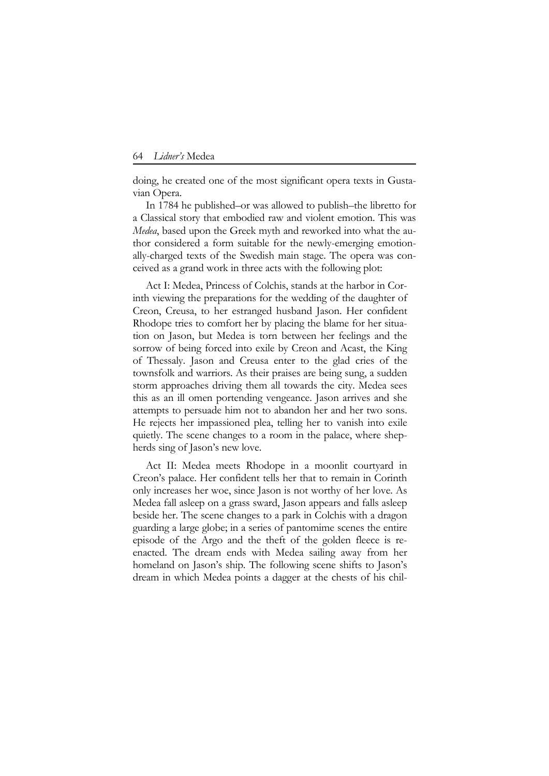doing, he created one of the most significant opera texts in Gustavian Opera.

In 1784 he published–or was allowed to publish–the libretto for a Classical story that embodied raw and violent emotion. This was *Medea*, based upon the Greek myth and reworked into what the author considered a form suitable for the newly-emerging emotionally-charged texts of the Swedish main stage. The opera was conceived as a grand work in three acts with the following plot:

Act I: Medea, Princess of Colchis, stands at the harbor in Corinth viewing the preparations for the wedding of the daughter of Creon, Creusa, to her estranged husband Jason. Her confident Rhodope tries to comfort her by placing the blame for her situation on Jason, but Medea is torn between her feelings and the sorrow of being forced into exile by Creon and Acast, the King of Thessaly. Jason and Creusa enter to the glad cries of the townsfolk and warriors. As their praises are being sung, a sudden storm approaches driving them all towards the city. Medea sees this as an ill omen portending vengeance. Jason arrives and she attempts to persuade him not to abandon her and her two sons. He rejects her impassioned plea, telling her to vanish into exile quietly. The scene changes to a room in the palace, where shepherds sing of Jason's new love.

Act II: Medea meets Rhodope in a moonlit courtyard in Creon's palace. Her confident tells her that to remain in Corinth only increases her woe, since Jason is not worthy of her love. As Medea fall asleep on a grass sward, Jason appears and falls asleep beside her. The scene changes to a park in Colchis with a dragon guarding a large globe; in a series of pantomime scenes the entire episode of the Argo and the theft of the golden fleece is reenacted. The dream ends with Medea sailing away from her homeland on Jason's ship. The following scene shifts to Jason's dream in which Medea points a dagger at the chests of his chil-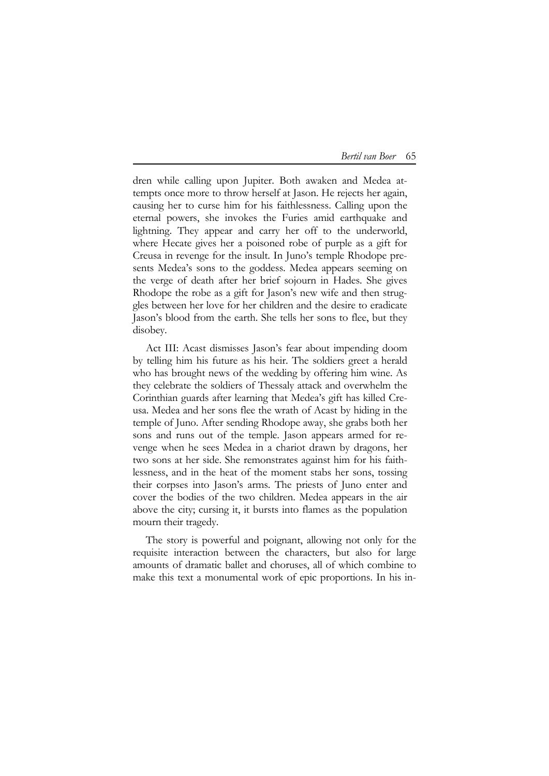| Bertil van Boer | 65. |
|-----------------|-----|
|-----------------|-----|

dren while calling upon Jupiter. Both awaken and Medea attempts once more to throw herself at Jason. He rejects her again, causing her to curse him for his faithlessness. Calling upon the eternal powers, she invokes the Furies amid earthquake and lightning. They appear and carry her off to the underworld, where Hecate gives her a poisoned robe of purple as a gift for Creusa in revenge for the insult. In Juno's temple Rhodope presents Medea's sons to the goddess. Medea appears seeming on the verge of death after her brief sojourn in Hades. She gives Rhodope the robe as a gift for Jason's new wife and then struggles between her love for her children and the desire to eradicate Jason's blood from the earth. She tells her sons to flee, but they disobey.

Act III: Acast dismisses Jason's fear about impending doom by telling him his future as his heir. The soldiers greet a herald who has brought news of the wedding by offering him wine. As they celebrate the soldiers of Thessaly attack and overwhelm the Corinthian guards after learning that Medea's gift has killed Creusa. Medea and her sons flee the wrath of Acast by hiding in the temple of Juno. After sending Rhodope away, she grabs both her sons and runs out of the temple. Jason appears armed for revenge when he sees Medea in a chariot drawn by dragons, her two sons at her side. She remonstrates against him for his faithlessness, and in the heat of the moment stabs her sons, tossing their corpses into Jason's arms. The priests of Juno enter and cover the bodies of the two children. Medea appears in the air above the city; cursing it, it bursts into flames as the population mourn their tragedy.

The story is powerful and poignant, allowing not only for the requisite interaction between the characters, but also for large amounts of dramatic ballet and choruses, all of which combine to make this text a monumental work of epic proportions. In his in-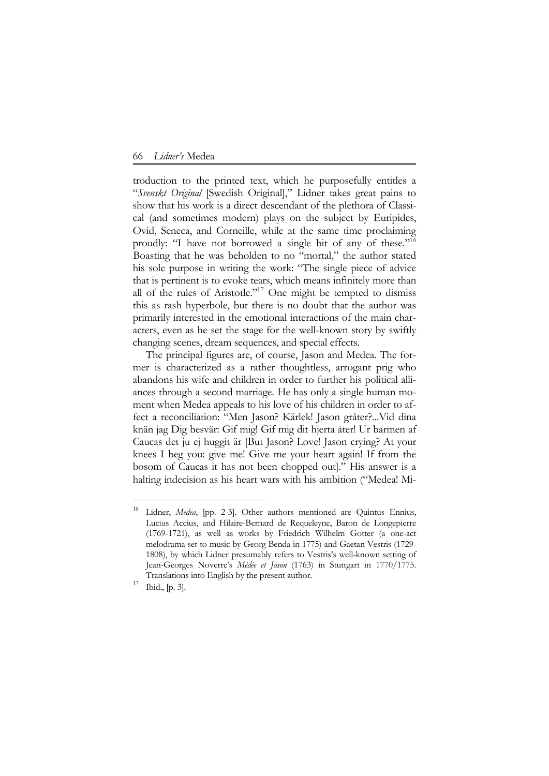troduction to the printed text, which he purposefully entitles a "*Svenskt Original* [Swedish Original]," Lidner takes great pains to show that his work is a direct descendant of the plethora of Classical (and sometimes modern) plays on the subject by Euripides, Ovid, Seneca, and Corneille, while at the same time proclaiming proudly: "I have not borrowed a single bit of any of these."1[6](#page-11-0)  Boasting that he was beholden to no "mortal," the author stated his sole purpose in writing the work: "The single piece of advice that is pertinent is to evoke tears, which means infinitely more than all of the rules of Aristotle."<sup>1[7](#page-11-1)</sup> One might be tempted to dismiss this as rash hyperbole, but there is no doubt that the author was primarily interested in the emotional interactions of the main characters, even as he set the stage for the well-known story by swiftly changing scenes, dream sequences, and special effects.

The principal figures are, of course, Jason and Medea. The former is characterized as a rather thoughtless, arrogant prig who abandons his wife and children in order to further his political alliances through a second marriage. He has only a single human moment when Medea appeals to his love of his children in order to affect a reconciliation: "Men Jason? Kärlek! Jason gråter?...Vid dina knän jag Dig besvär: Gif mig! Gif mig dit hjerta åter! Ur barmen af Caucas det ju ej huggit är [But Jason? Love! Jason crying? At your knees I beg you: give me! Give me your heart again! If from the bosom of Caucas it has not been chopped out]." His answer is a halting indecision as his heart wars with his ambition ("Medea! Mi-

<span id="page-11-0"></span><sup>16</sup> Lidner, *Medea*, [pp. 2-3]. Other authors mentioned are Quintus Ennius, Lucius Accius, and Hilaire-Bernard de Requeleyne, Baron de Longepierre (1769-1721), as well as works by Friedrich Wilhelm Gotter (a one-act melodrama set to music by Georg Benda in 1775) and Gaetan Vestris (1729- 1808), by which Lidner presumably refers to Vestris's well-known setting of Jean-Georges Noverre's *Médée et Jason* (1763) in Stuttgart in 1770/1775. Translations into English by the present author.

<span id="page-11-1"></span> $17$  Ibid., [p. 3].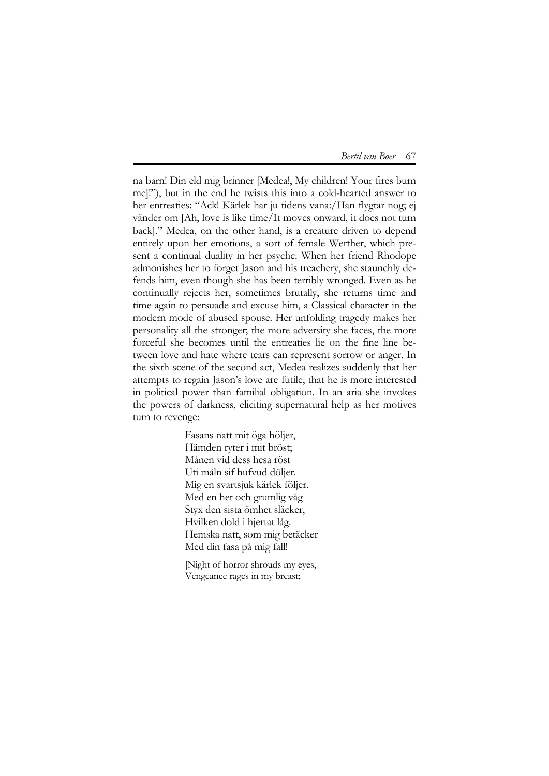na barn! Din eld mig brinner [Medea!, My children! Your fires burn me]!"), but in the end he twists this into a cold-hearted answer to her entreaties: "Ack! Kärlek har ju tidens vana:/Han flygtar nog; ej vänder om [Ah, love is like time/It moves onward, it does not turn back]." Medea, on the other hand, is a creature driven to depend entirely upon her emotions, a sort of female Werther, which present a continual duality in her psyche. When her friend Rhodope admonishes her to forget Jason and his treachery, she staunchly defends him, even though she has been terribly wronged. Even as he continually rejects her, sometimes brutally, she returns time and time again to persuade and excuse him, a Classical character in the modern mode of abused spouse. Her unfolding tragedy makes her personality all the stronger; the more adversity she faces, the more forceful she becomes until the entreaties lie on the fine line between love and hate where tears can represent sorrow or anger. In the sixth scene of the second act, Medea realizes suddenly that her attempts to regain Jason's love are futile, that he is more interested in political power than familial obligation. In an aria she invokes the powers of darkness, eliciting supernatural help as her motives turn to revenge:

> Fasans natt mit öga höljer, Hämden ryter i mit bröst; Månen vid dess hesa röst Uti måln sif hufvud döljer. Mig en svartsjuk kärlek följer. Med en het och grumlig våg Styx den sista ömhet släcker, Hvilken dold i hjertat låg. Hemska natt, som mig betäcker Med din fasa på mig fall!

[Night of horror shrouds my eyes, Vengeance rages in my breast;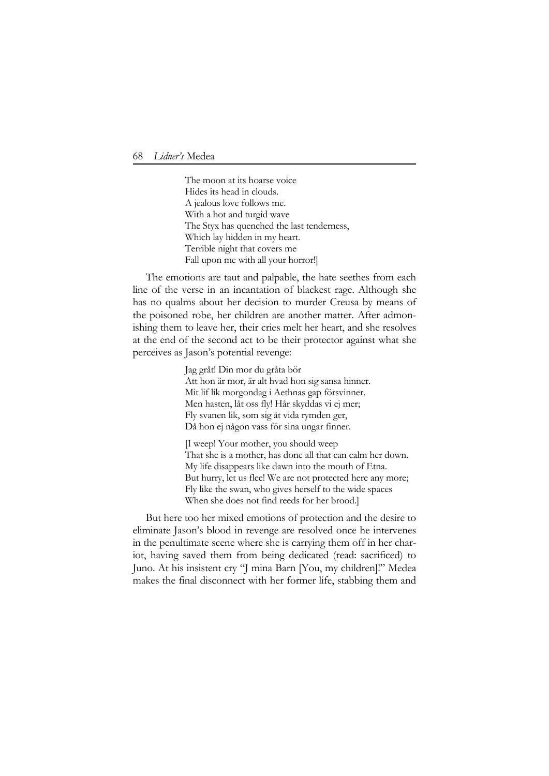The moon at its hoarse voice Hides its head in clouds. A jealous love follows me. With a hot and turgid wave The Styx has quenched the last tenderness, Which lay hidden in my heart. Terrible night that covers me Fall upon me with all your horror!]

The emotions are taut and palpable, the hate seethes from each line of the verse in an incantation of blackest rage. Although she has no qualms about her decision to murder Creusa by means of the poisoned robe, her children are another matter. After admonishing them to leave her, their cries melt her heart, and she resolves at the end of the second act to be their protector against what she perceives as Jason's potential revenge:

> Jag gråt! Din mor du gråta bör Att hon är mor, är alt hvad hon sig sansa hinner. Mit lif lik morgondag i Aethnas gap försvinner. Men hasten, låt oss fly! Hår skyddas vi ej mer; Fly svanen lik, som sig åt vida rymden ger, Då hon ej någon vass för sina ungar finner.

[I weep! Your mother, you should weep That she is a mother, has done all that can calm her down. My life disappears like dawn into the mouth of Etna. But hurry, let us flee! We are not protected here any more; Fly like the swan, who gives herself to the wide spaces When she does not find reeds for her brood.]

But here too her mixed emotions of protection and the desire to eliminate Jason's blood in revenge are resolved once he intervenes in the penultimate scene where she is carrying them off in her chariot, having saved them from being dedicated (read: sacrificed) to Juno. At his insistent cry "J mina Barn [You, my children]!" Medea makes the final disconnect with her former life, stabbing them and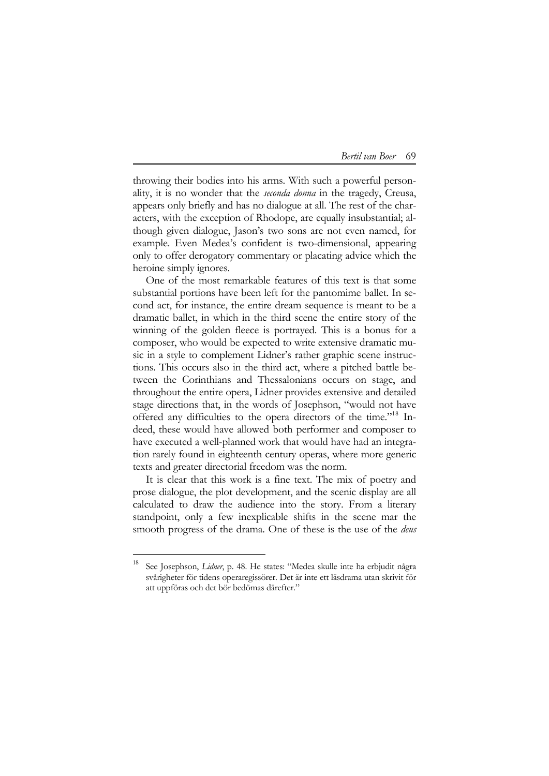throwing their bodies into his arms. With such a powerful personality, it is no wonder that the *seconda donna* in the tragedy, Creusa, appears only briefly and has no dialogue at all. The rest of the characters, with the exception of Rhodope, are equally insubstantial; although given dialogue, Jason's two sons are not even named, for example. Even Medea's confident is two-dimensional, appearing only to offer derogatory commentary or placating advice which the heroine simply ignores.

One of the most remarkable features of this text is that some substantial portions have been left for the pantomime ballet. In second act, for instance, the entire dream sequence is meant to be a dramatic ballet, in which in the third scene the entire story of the winning of the golden fleece is portrayed. This is a bonus for a composer, who would be expected to write extensive dramatic music in a style to complement Lidner's rather graphic scene instructions. This occurs also in the third act, where a pitched battle between the Corinthians and Thessalonians occurs on stage, and throughout the entire opera, Lidner provides extensive and detailed stage directions that, in the words of Josephson, "would not have offered any difficulties to the opera directors of the time."<sup>1[8](#page-14-0)</sup> Indeed, these would have allowed both performer and composer to have executed a well-planned work that would have had an integration rarely found in eighteenth century operas, where more generic texts and greater directorial freedom was the norm.

It is clear that this work is a fine text. The mix of poetry and prose dialogue, the plot development, and the scenic display are all calculated to draw the audience into the story. From a literary standpoint, only a few inexplicable shifts in the scene mar the smooth progress of the drama. One of these is the use of the *deus* 

<span id="page-14-0"></span><sup>18</sup> See Josephson, *Lidner*, p. 48. He states: "Medea skulle inte ha erbjudit några svårigheter för tidens operaregissörer. Det är inte ett läsdrama utan skrivit för att uppföras och det bör bedömas därefter."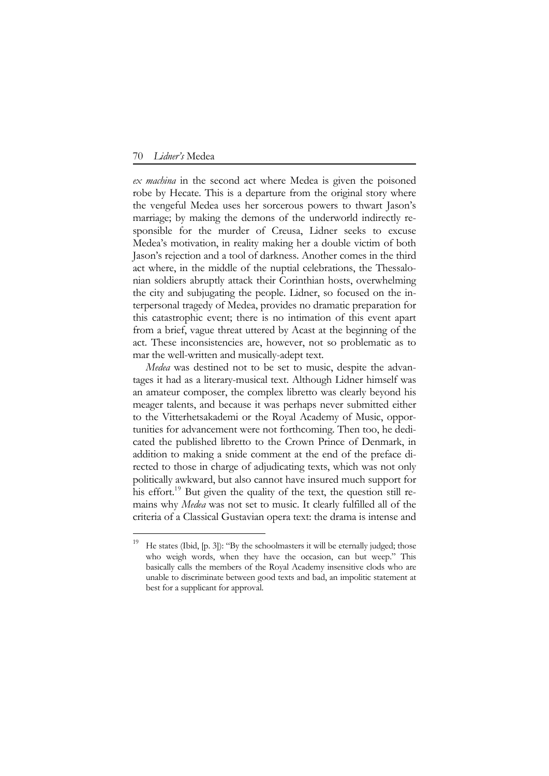<u>.</u>

*ex machina* in the second act where Medea is given the poisoned robe by Hecate. This is a departure from the original story where the vengeful Medea uses her sorcerous powers to thwart Jason's marriage; by making the demons of the underworld indirectly responsible for the murder of Creusa, Lidner seeks to excuse Medea's motivation, in reality making her a double victim of both Jason's rejection and a tool of darkness. Another comes in the third act where, in the middle of the nuptial celebrations, the Thessalonian soldiers abruptly attack their Corinthian hosts, overwhelming the city and subjugating the people. Lidner, so focused on the interpersonal tragedy of Medea, provides no dramatic preparation for this catastrophic event; there is no intimation of this event apart from a brief, vague threat uttered by Acast at the beginning of the act. These inconsistencies are, however, not so problematic as to mar the well-written and musically-adept text.

*Medea* was destined not to be set to music, despite the advantages it had as a literary-musical text. Although Lidner himself was an amateur composer, the complex libretto was clearly beyond his meager talents, and because it was perhaps never submitted either to the Vitterhetsakademi or the Royal Academy of Music, opportunities for advancement were not forthcoming. Then too, he dedicated the published libretto to the Crown Prince of Denmark, in addition to making a snide comment at the end of the preface directed to those in charge of adjudicating texts, which was not only politically awkward, but also cannot have insured much support for his effort.<sup>1[9](#page-15-0)</sup> But given the quality of the text, the question still remains why *Medea* was not set to music. It clearly fulfilled all of the criteria of a Classical Gustavian opera text: the drama is intense and

<span id="page-15-0"></span><sup>&</sup>lt;sup>19</sup> He states (Ibid, [p. 3]): "By the schoolmasters it will be eternally judged; those who weigh words, when they have the occasion, can but weep." This basically calls the members of the Royal Academy insensitive clods who are unable to discriminate between good texts and bad, an impolitic statement at best for a supplicant for approval.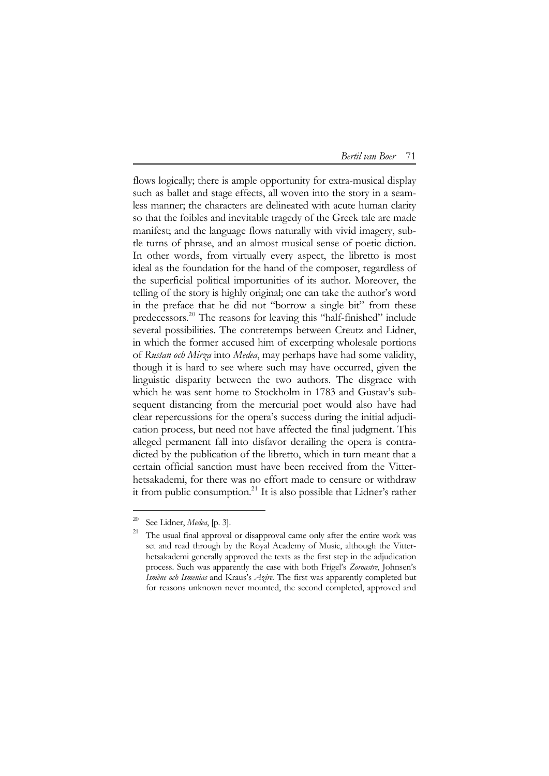| Bertil van Boer | 71 |
|-----------------|----|
|-----------------|----|

flows logically; there is ample opportunity for extra-musical display such as ballet and stage effects, all woven into the story in a seamless manner; the characters are delineated with acute human clarity so that the foibles and inevitable tragedy of the Greek tale are made manifest; and the language flows naturally with vivid imagery, subtle turns of phrase, and an almost musical sense of poetic diction. In other words, from virtually every aspect, the libretto is most ideal as the foundation for the hand of the composer, regardless of the superficial political importunities of its author. Moreover, the telling of the story is highly original; one can take the author's word in the preface that he did not "borrow a single bit" from these predecessors.<sup>[20](#page-16-0)</sup> The reasons for leaving this "half-finished" include several possibilities. The contretemps between Creutz and Lidner, in which the former accused him of excerpting wholesale portions of *Rustan och Mirza* into *Medea*, may perhaps have had some validity, though it is hard to see where such may have occurred, given the linguistic disparity between the two authors. The disgrace with which he was sent home to Stockholm in 1783 and Gustav's subsequent distancing from the mercurial poet would also have had clear repercussions for the opera's success during the initial adjudication process, but need not have affected the final judgment. This alleged permanent fall into disfavor derailing the opera is contradicted by the publication of the libretto, which in turn meant that a certain official sanction must have been received from the Vitterhetsakademi, for there was no effort made to censure or withdraw it from public consumption.<sup>2[1](#page-16-1)</sup> It is also possible that Lidner's rather

<span id="page-16-1"></span><span id="page-16-0"></span><sup>&</sup>lt;sup>20</sup> See Lidner, *Medea*, [p. 3].<br><sup>21</sup> The usual final approval or disapproval came only after the entire work was set and read through by the Royal Academy of Music, although the Vitterhetsakademi generally approved the texts as the first step in the adjudication process. Such was apparently the case with both Frigel's *Zoroastre*, Johnsen's *Ismène och Ismenias* and Kraus's *Azire*. The first was apparently completed but for reasons unknown never mounted, the second completed, approved and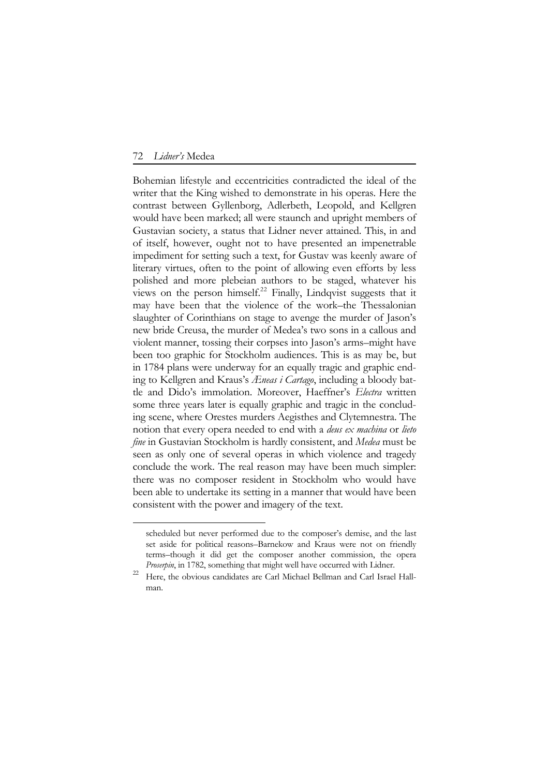<u>.</u>

Bohemian lifestyle and eccentricities contradicted the ideal of the writer that the King wished to demonstrate in his operas. Here the contrast between Gyllenborg, Adlerbeth, Leopold, and Kellgren would have been marked; all were staunch and upright members of Gustavian society, a status that Lidner never attained. This, in and of itself, however, ought not to have presented an impenetrable impediment for setting such a text, for Gustav was keenly aware of literary virtues, often to the point of allowing even efforts by less polished and more plebeian authors to be staged, whatever his views on the person himself.<sup>[2](#page-17-0)2</sup> Finally, Lindqvist suggests that it may have been that the violence of the work–the Thessalonian slaughter of Corinthians on stage to avenge the murder of Jason's new bride Creusa, the murder of Medea's two sons in a callous and violent manner, tossing their corpses into Jason's arms–might have been too graphic for Stockholm audiences. This is as may be, but in 1784 plans were underway for an equally tragic and graphic ending to Kellgren and Kraus's *Æneas i Cartago*, including a bloody battle and Dido's immolation. Moreover, Haeffner's *Electra* written some three years later is equally graphic and tragic in the concluding scene, where Orestes murders Aegisthes and Clytemnestra. The notion that every opera needed to end with a *deus ex machina* or *lieto fine* in Gustavian Stockholm is hardly consistent, and *Medea* must be seen as only one of several operas in which violence and tragedy conclude the work. The real reason may have been much simpler: there was no composer resident in Stockholm who would have been able to undertake its setting in a manner that would have been consistent with the power and imagery of the text.

scheduled but never performed due to the composer's demise, and the last set aside for political reasons–Barnekow and Kraus were not on friendly terms–though it did get the composer another commission, the opera

<span id="page-17-0"></span>*Proserpin*, in 1782, something that might well have occurred with Lidner.<br><sup>22</sup> Here, the obvious candidates are Carl Michael Bellman and Carl Israel Hallman.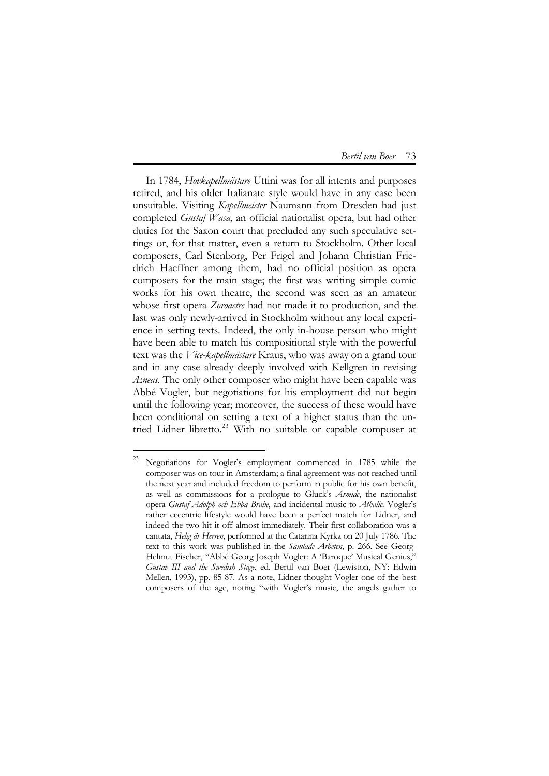In 1784, *Hovkapellmästare* Uttini was for all intents and purposes retired, and his older Italianate style would have in any case been unsuitable. Visiting *Kapellmeister* Naumann from Dresden had just completed *Gustaf Wasa*, an official nationalist opera, but had other duties for the Saxon court that precluded any such speculative settings or, for that matter, even a return to Stockholm. Other local composers, Carl Stenborg, Per Frigel and Johann Christian Friedrich Haeffner among them, had no official position as opera composers for the main stage; the first was writing simple comic works for his own theatre, the second was seen as an amateur whose first opera *Zoroastre* had not made it to production, and the last was only newly-arrived in Stockholm without any local experience in setting texts. Indeed, the only in-house person who might have been able to match his compositional style with the powerful text was the *Vice-kapellmästare* Kraus, who was away on a grand tour and in any case already deeply involved with Kellgren in revising *Æneas.* The only other composer who might have been capable was Abbé Vogler, but negotiations for his employment did not begin until the following year; moreover, the success of these would have been conditional on setting a text of a higher status than the un-tried Lidner libretto.<sup>[23](#page-18-0)</sup> With no suitable or capable composer at

<span id="page-18-0"></span><sup>23</sup> Negotiations for Vogler's employment commenced in 1785 while the composer was on tour in Amsterdam; a final agreement was not reached until the next year and included freedom to perform in public for his own benefit, as well as commissions for a prologue to Gluck's *Armide*, the nationalist opera *Gustaf Adolph och Ebba Brahe*, and incidental music to *Athalie.* Vogler's rather eccentric lifestyle would have been a perfect match for Lidner, and indeed the two hit it off almost immediately. Their first collaboration was a cantata, *Helig är Herren*, performed at the Catarina Kyrka on 20 July 1786. The text to this work was published in the *Samlade Arbeten*, p. 266. See Georg-Helmut Fischer, "Abbé Georg Joseph Vogler: A 'Baroque' Musical Genius," *Gustav III and the Swedish Stage*, ed. Bertil van Boer (Lewiston, NY: Edwin Mellen, 1993), pp. 85-87. As a note, Lidner thought Vogler one of the best composers of the age, noting "with Vogler's music, the angels gather to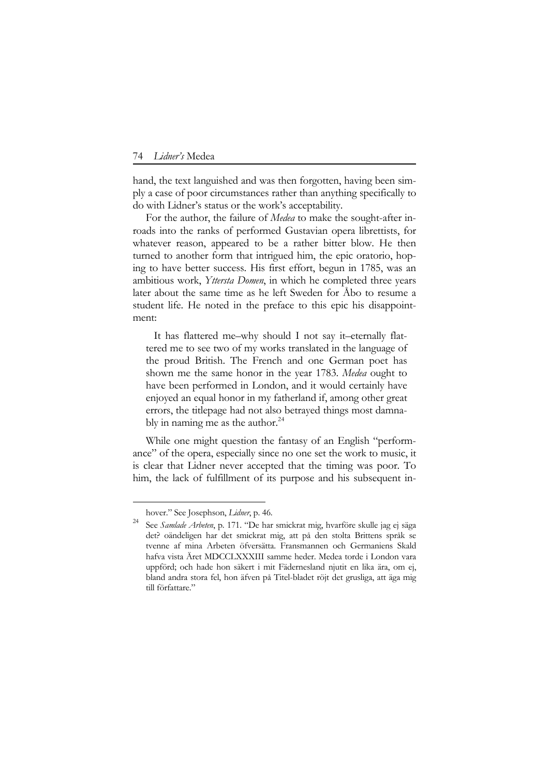hand, the text languished and was then forgotten, having been simply a case of poor circumstances rather than anything specifically to do with Lidner's status or the work's acceptability.

For the author, the failure of *Medea* to make the sought-after inroads into the ranks of performed Gustavian opera librettists, for whatever reason, appeared to be a rather bitter blow. He then turned to another form that intrigued him, the epic oratorio, hoping to have better success. His first effort, begun in 1785, was an ambitious work, *Yttersta Domen*, in which he completed three years later about the same time as he left Sweden for Åbo to resume a student life. He noted in the preface to this epic his disappointment:

 It has flattered me–why should I not say it–eternally flattered me to see two of my works translated in the language of the proud British. The French and one German poet has shown me the same honor in the year 1783. *Medea* ought to have been performed in London, and it would certainly have enjoyed an equal honor in my fatherland if, among other great errors, the titlepage had not also betrayed things most damna-bly in naming me as the author.<sup>2[4](#page-19-0)</sup>

While one might question the fantasy of an English "performance" of the opera, especially since no one set the work to music, it is clear that Lidner never accepted that the timing was poor. To him, the lack of fulfillment of its purpose and his subsequent in-

hover." See Josephson, *Lidner*, p. 46.

<span id="page-19-0"></span><sup>24</sup> See *Samlade Arbeten*, p. 171. "De har smickrat mig, hvarföre skulle jag ej säga det? oändeligen har det smickrat mig, att på den stolta Brittens språk se tvenne af mina Arbeten öfversätta. Fransmannen och Germaniens Skald hafva vista Äret MDCCLXXXIII samme heder. Medea torde i London vara uppförd; och hade hon säkert i mit Fädernesland njutit en lika ära, om ej, bland andra stora fel, hon äfven på Titel-bladet röjt det grusliga, att äga mig till författare."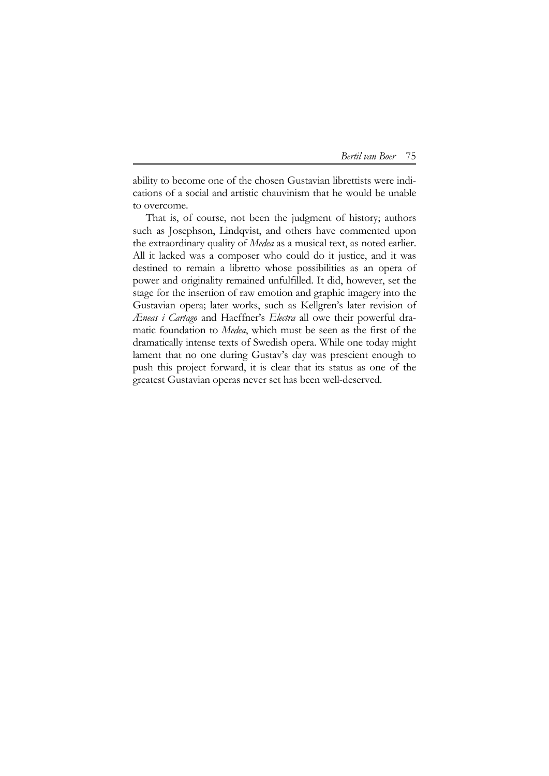ability to become one of the chosen Gustavian librettists were indications of a social and artistic chauvinism that he would be unable to overcome.

That is, of course, not been the judgment of history; authors such as Josephson, Lindqvist, and others have commented upon the extraordinary quality of *Medea* as a musical text, as noted earlier. All it lacked was a composer who could do it justice, and it was destined to remain a libretto whose possibilities as an opera of power and originality remained unfulfilled. It did, however, set the stage for the insertion of raw emotion and graphic imagery into the Gustavian opera; later works, such as Kellgren's later revision of *Æneas i Cartago* and Haeffner's *Electra* all owe their powerful dramatic foundation to *Medea*, which must be seen as the first of the dramatically intense texts of Swedish opera. While one today might lament that no one during Gustav's day was prescient enough to push this project forward, it is clear that its status as one of the greatest Gustavian operas never set has been well-deserved.